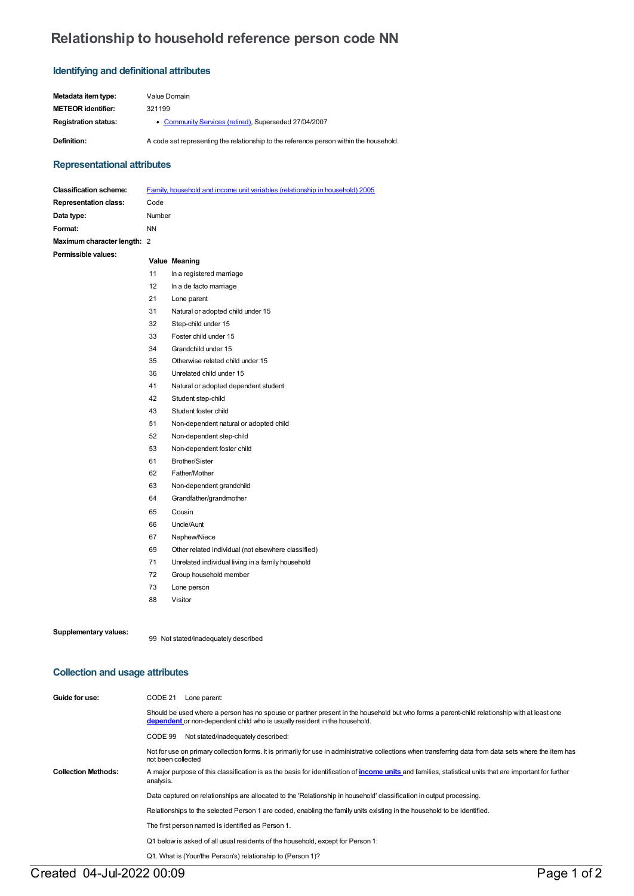# **Relationship to household reference person code NN**

# **Identifying and definitional attributes**

| Metadata item tvpe:         | Value Domain                                                                           |
|-----------------------------|----------------------------------------------------------------------------------------|
| METEOR identifier:          | 321199                                                                                 |
| <b>Registration status:</b> | • Community Services (retired), Superseded 27/04/2007                                  |
| Definition:                 | A code set representing the relationship to the reference person within the household. |

# **Representational attributes**

| <b>Classification scheme:</b> |           | Family, household and income unit variables (relationship in household) 2005 |
|-------------------------------|-----------|------------------------------------------------------------------------------|
| <b>Representation class:</b>  | Code      |                                                                              |
| Data type:                    | Number    |                                                                              |
| Format:                       | <b>NN</b> |                                                                              |
| Maximum character length: 2   |           |                                                                              |
| Permissible values:           |           | Value Meaning                                                                |
|                               | 11        | In a registered marriage                                                     |
|                               | 12        | In a de facto marriage                                                       |
|                               | 21        | Lone parent                                                                  |
|                               | 31        | Natural or adopted child under 15                                            |
|                               | 32        | Step-child under 15                                                          |
|                               | 33        | Foster child under 15                                                        |
|                               | 34        | Grandchild under 15                                                          |
|                               | 35        | Otherwise related child under 15                                             |
|                               | 36        | Unrelated child under 15                                                     |
|                               | 41        | Natural or adopted dependent student                                         |
|                               | 42        | Student step-child                                                           |
|                               | 43        | Student foster child                                                         |
|                               | 51        | Non-dependent natural or adopted child                                       |
|                               | 52        | Non-dependent step-child                                                     |
|                               | 53        | Non-dependent foster child                                                   |
|                               | 61        | <b>Brother/Sister</b>                                                        |
|                               | 62        | Father/Mother                                                                |
|                               | 63        | Non-dependent grandchild                                                     |
|                               | 64        | Grandfather/grandmother                                                      |
|                               | 65        | Cousin                                                                       |
|                               | 66        | Uncle/Aunt                                                                   |
|                               | 67        | Nephew/Niece                                                                 |
|                               | 69        | Other related individual (not elsewhere classified)                          |
|                               | 71        | Unrelated individual living in a family household                            |
|                               | 72        | Group household member                                                       |
|                               | 73        | Lone person                                                                  |
|                               | 88        | Visitor                                                                      |

**Supplementary values:** <sup>99</sup> Not stated/inadequately described

### **Collection and usage attributes**

| Guide for use:             | CODE 21<br>Lone parent:                                                                                                                                                                                                   |  |  |  |  |
|----------------------------|---------------------------------------------------------------------------------------------------------------------------------------------------------------------------------------------------------------------------|--|--|--|--|
|                            | Should be used where a person has no spouse or partner present in the household but who forms a parent-child relationship with at least one<br>dependent or non-dependent child who is usually resident in the household. |  |  |  |  |
|                            | Not stated/inadequately described:<br>CODE 99                                                                                                                                                                             |  |  |  |  |
|                            | Not for use on primary collection forms. It is primarily for use in administrative collections when transferring data from data sets where the item has<br>not been collected                                             |  |  |  |  |
| <b>Collection Methods:</b> | A major purpose of this classification is as the basis for identification of <b>income units</b> and families, statistical units that are important for further<br>analysis.                                              |  |  |  |  |
|                            | Data captured on relationships are allocated to the 'Relationship in household' classification in output processing.                                                                                                      |  |  |  |  |
|                            | Relationships to the selected Person 1 are coded, enabling the family units existing in the household to be identified.                                                                                                   |  |  |  |  |
|                            | The first person named is identified as Person 1.                                                                                                                                                                         |  |  |  |  |
|                            | Q1 below is asked of all usual residents of the household, except for Person 1:                                                                                                                                           |  |  |  |  |
|                            | Q1. What is (Your/the Person's) relationship to (Person 1)?                                                                                                                                                               |  |  |  |  |